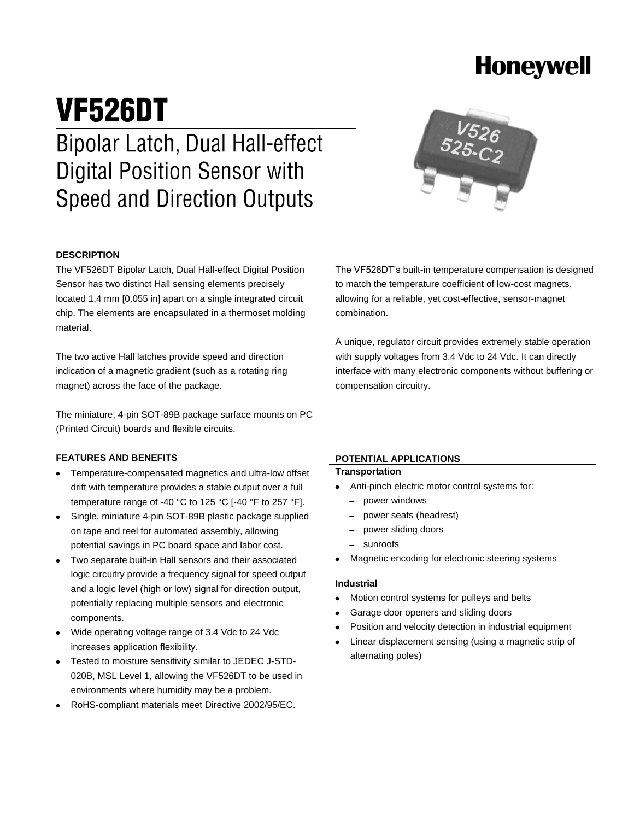# **Honeywell**

# VF526DT **Bipolar Latch, Dual Hall-effect Digital Position Sensor with Speed and Direction Outputs**

#### **DESCRIPTION**

The VF526DT Bipolar Latch, Dual Hall-effect Digital Position Sensor has two distinct Hall sensing elements precisely located 1,4 mm [0.055 in] apart on a single integrated circuit chip. The elements are encapsulated in a thermoset molding material.

The two active Hall latches provide speed and direction indication of a magnetic gradient (such as a rotating ring magnet) across the face of the package.

The miniature, 4-pin SOT-89B package surface mounts on PC (Printed Circuit) boards and flexible circuits.

#### **FEATURES AND BENEFITS**

- Temperature-compensated magnetics and ultra-low offset drift with temperature provides a stable output over a full temperature range of -40 °C to 125 °C [-40 °F to 257 °F].
- Single, miniature 4-pin SOT-89B plastic package supplied on tape and reel for automated assembly, allowing potential savings in PC board space and labor cost.
- Two separate built-in Hall sensors and their associated logic circuitry provide a frequency signal for speed output and a logic level (high or low) signal for direction output, potentially replacing multiple sensors and electronic components.
- Wide operating voltage range of 3.4 Vdc to 24 Vdc increases application flexibility.
- Tested to moisture sensitivity similar to JEDEC J-STD-020B, MSL Level 1, allowing the VF526DT to be used in environments where humidity may be a problem.
- RoHS-compliant materials meet Directive 2002/95/EC.

#### **POTENTIAL APPLICATIONS**

compensation circuitry.

#### **Transportation**

combination.

- Anti-pinch electric motor control systems for:
	- power windows
	- power seats (headrest)
	- power sliding doors
	- sunroofs
- Magnetic encoding for electronic steering systems

#### **Industrial**

- Motion control systems for pulleys and belts
- Garage door openers and sliding doors
- Position and velocity detection in industrial equipment
- Linear displacement sensing (using a magnetic strip of alternating poles)



The VF526DT's built-in temperature compensation is designed to match the temperature coefficient of low-cost magnets, allowing for a reliable, yet cost-effective, sensor-magnet

A unique, regulator circuit provides extremely stable operation with supply voltages from 3.4 Vdc to 24 Vdc. It can directly interface with many electronic components without buffering or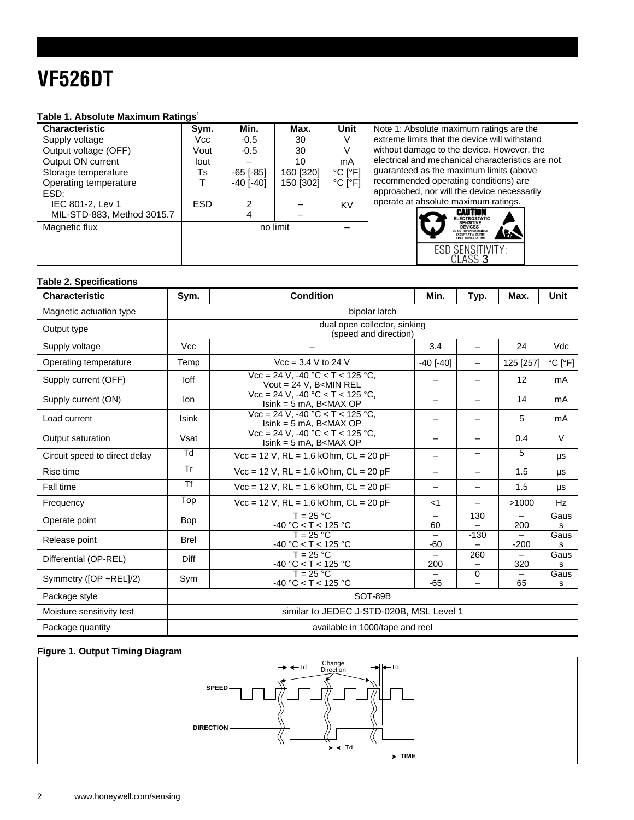# **VF526DT**

#### **Table 1. Absolute Maximum Ratings<sup>1</sup>**

| Characteristic             | Sym.       | Min.            | Max.      | Unit                         | Note 1: Absolute maximum ratings are the                    |  |  |  |
|----------------------------|------------|-----------------|-----------|------------------------------|-------------------------------------------------------------|--|--|--|
| Supply voltage             | Vcc        | $-0.5$          | 30        |                              | extreme limits that the device will withstand               |  |  |  |
| Output voltage (OFF)       | Vout       | $-0.5$          | 30        |                              | without damage to the device. However, the                  |  |  |  |
| Output ON current          | lout       |                 | 10        | mA                           | electrical and mechanical characteristics are not           |  |  |  |
| Storage temperature        | Ts         | $-65$ [ $-85$ ] | 160 [320] | $^{\circ}$ C I $^{\circ}$ F1 | quaranteed as the maximum limits (above                     |  |  |  |
| Operating temperature      |            | $-40$ [ $-40$ ] | 150 [302] | $^{\circ}$ C I $^{\circ}$ F1 | recommended operating conditions) are                       |  |  |  |
| ESD:                       |            |                 |           |                              | approached, nor will the device necessarily                 |  |  |  |
| IEC 801-2, Lev 1           | <b>ESD</b> | ົ               |           | KV                           | operate at absolute maximum ratings.                        |  |  |  |
| MIL-STD-883, Method 3015.7 |            | 4               |           |                              | <b>CAUTION</b><br><b>ELECTROSTATIC</b>                      |  |  |  |
| Magnetic flux              |            | no limit        |           |                              | <b>SENSITIVE</b><br><b>DEVICES</b><br>DO NOT OPEN OR HANDLE |  |  |  |
|                            |            |                 |           |                              | <b>EXCEPT AT A STATH</b>                                    |  |  |  |
|                            |            |                 |           |                              | ESD SENSITIVITY:                                            |  |  |  |
|                            |            |                 |           |                              | $CL$ ass 3                                                  |  |  |  |

#### **Table 2. Specifications**

| <b>Characteristic</b>         | Sym.                                                  | <b>Condition</b>                                                                                                                          | Min.              | Typ.     | Max.      | <b>Unit</b>                  |
|-------------------------------|-------------------------------------------------------|-------------------------------------------------------------------------------------------------------------------------------------------|-------------------|----------|-----------|------------------------------|
| Magnetic actuation type       | bipolar latch                                         |                                                                                                                                           |                   |          |           |                              |
| Output type                   | dual open collector, sinking<br>(speed and direction) |                                                                                                                                           |                   |          |           |                              |
| Supply voltage                | <b>Vcc</b>                                            |                                                                                                                                           | 3.4               |          | 24        | Vdc                          |
| Operating temperature         | Temp                                                  | $Vec = 3.4 V to 24 V$                                                                                                                     | $-40$ [ $-40$ ]   |          | 125 [257] | $^{\circ}$ C [ $^{\circ}$ F] |
| Supply current (OFF)          | loff                                                  | $Vcc = 24$ V. -40 °C < T < 125 °C.<br>Vout = $24$ V, B <min rel<="" td=""><td></td><td></td><td>12</td><td>mA</td></min>                  |                   |          | 12        | mA                           |
| Supply current (ON)           | lon                                                   | $Vec = 24 V. -40 °C < T < 125 °C.$<br>$lsink = 5 mA$ , B $<$ MAX OP                                                                       |                   |          | 14        | mA                           |
| Load current                  | <b>Isink</b>                                          | $Vcc = 24$ V. -40 °C < T < 125 °C.<br>$lsink = 5 mA$ , B $<$ MAX OP                                                                       |                   |          | 5         | mA                           |
| Output saturation             | Vsat                                                  | $Vcc = 24$ V. -40 °C < T < 125 °C.<br>$lsink = 5 mA$ , B <max op<="" td=""><td></td><td></td><td>0.4</td><td><math>\vee</math></td></max> |                   |          | 0.4       | $\vee$                       |
| Circuit speed to direct delay | $\overline{\mathsf{d}}$                               | $Vec = 12$ V, RL = 1.6 kOhm, CL = 20 pF                                                                                                   | $\qquad \qquad -$ |          | 5         | μs                           |
| Rise time                     | Tr                                                    | $Vec = 12 V$ , RL = 1.6 kOhm, CL = 20 pF                                                                                                  | -                 |          | 1.5       | μs                           |
| Fall time                     | Tf                                                    | $Vec = 12 V$ , RL = 1.6 kOhm, CL = 20 pF                                                                                                  | —                 |          | 1.5       | μs                           |
| Frequency                     | Top                                                   | $Vec = 12 V$ , RL = 1.6 kOhm, CL = 20 pF                                                                                                  | $<$ 1             |          | >1000     | <b>Hz</b>                    |
| Operate point                 | <b>Bop</b>                                            | $T = 25 °C$<br>$-40 °C < T < 125 °C$                                                                                                      | —<br>60           | 130      | 200       | Gaus<br>s                    |
| Release point                 | <b>Brel</b>                                           | $T = 25 °C$<br>$-40 °C < T < 125 °C$                                                                                                      | -60               | $-130$   | $-200$    | Gaus<br>s                    |
| Differential (OP-REL)         | Diff                                                  | $T = 25 °C$<br>$-40 °C < T < 125 °C$                                                                                                      | 200               | 260      | 320       | Gaus<br>s                    |
| Symmetry ([OP +REL]/2)        | Sym                                                   | $T = 25 °C$<br>$-40 °C < T < 125 °C$                                                                                                      | $-65$             | $\Omega$ | 65        | Gaus<br>s                    |
| Package style                 | SOT-89B                                               |                                                                                                                                           |                   |          |           |                              |
| Moisture sensitivity test     |                                                       | similar to JEDEC J-STD-020B, MSL Level 1                                                                                                  |                   |          |           |                              |
| Package quantity              |                                                       | available in 1000/tape and reel                                                                                                           |                   |          |           |                              |

#### **Figure 1. Output Timing Diagram**

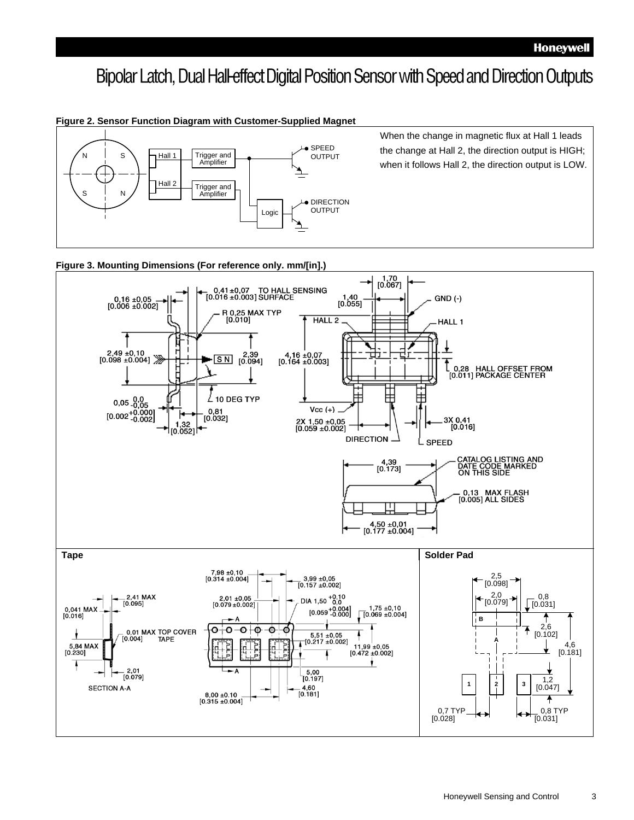### Bipolar Latch, Dual Hall-effect Digital Position Sensor with Speed and Direction Outputs

#### **Figure 2. Sensor Function Diagram with Customer-Supplied Magnet** Trigger and Amplifier Hall 1 Trigger and<br>
Amplifier<br>
Hall 2 Trigger and<br>
Amplifier Hall 2 Logic SPEED OUTPUT **•** DIRECTION OUTPUT S When the change in magnetic flux at Hall 1 leads<br>
S N N N N Trigger and<br>
S N N Hall 2 Trigger and<br>
S N N Hall 2 Trigger and<br>
Amplifier Amplifier

the change at Hall 2, the direction output is HIGH; when it follows Hall 2, the direction output is LOW.

#### **Figure 3. Mounting Dimensions (For reference only. mm/[in].)**

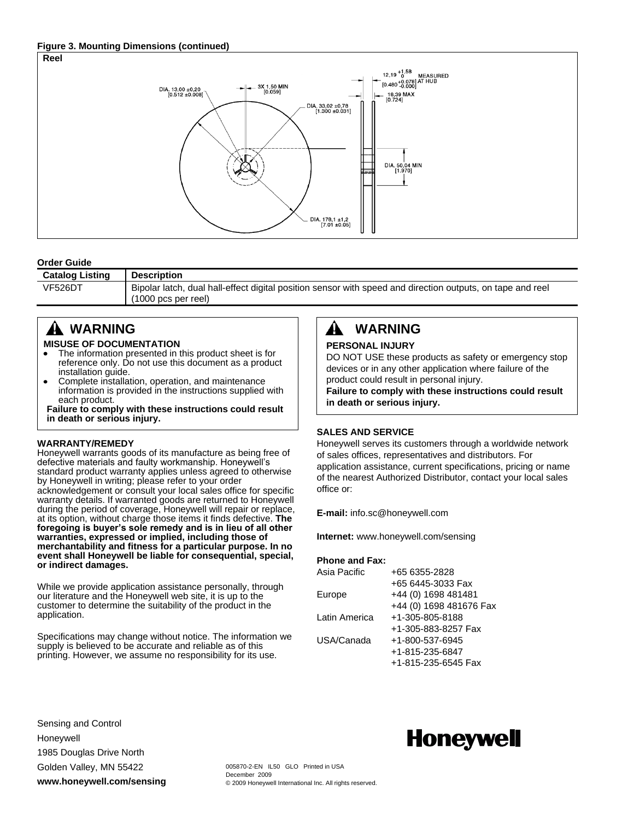#### **Figure 3. Mounting Dimensions (continued)**



#### **Order Guide**

| <b>Catalog Listing</b> | <b>Description</b>                                                                                         |
|------------------------|------------------------------------------------------------------------------------------------------------|
| <b>VF526DT</b>         | Bipolar latch, dual hall-effect digital position sensor with speed and direction outputs, on tape and reel |
|                        | $(1000 \text{ pcs per real})$                                                                              |

### **WARNING**

#### **MISUSE OF DOCUMENTATION**

- The information presented in this product sheet is for reference only. Do not use this document as a product installation guide.
- Complete installation, operation, and maintenance  $\bullet$ information is provided in the instructions supplied with each product.

**Failure to comply with these instructions could result in death or serious injury.**

#### **WARRANTY/REMEDY**

Honeywell warrants goods of its manufacture as being free of defective materials and faulty workmanship. Honeywell's standard product warranty applies unless agreed to otherwise by Honeywell in writing; please refer to your order acknowledgement or consult your local sales office for specific warranty details. If warranted goods are returned to Honeywell during the period of coverage, Honeywell will repair or replace, at its option, without charge those items it finds defective. **The foregoing is buyer's sole remedy and is in lieu of all other warranties, expressed or implied, including those of merchantability and fitness for a particular purpose. In no event shall Honeywell be liable for consequential, special, or indirect damages.**

While we provide application assistance personally, through our literature and the Honeywell web site, it is up to the customer to determine the suitability of the product in the application.

Specifications may change without notice. The information we supply is believed to be accurate and reliable as of this printing. However, we assume no responsibility for its use.

#### Æ. **WARNING**

#### **PERSONAL INJURY**

DO NOT USE these products as safety or emergency stop devices or in any other application where failure of the product could result in personal injury.

**Failure to comply with these instructions could result in death or serious injury.**

#### **SALES AND SERVICE**

Honeywell serves its customers through a worldwide network of sales offices, representatives and distributors. For application assistance, current specifications, pricing or name of the nearest Authorized Distributor, contact your local sales office or:

**E-mail:** info.sc@honeywell.com

**Internet:** www.honeywell.com/sensing

#### **Phone and Fax:**

| Asia Pacific  | +65 6355-2828           |
|---------------|-------------------------|
|               | +65 6445-3033 Fax       |
| Europe        | +44 (0) 1698 481481     |
|               | +44 (0) 1698 481676 Fax |
| Latin America | +1-305-805-8188         |
|               | +1-305-883-8257 Fax     |
| USA/Canada    | +1-800-537-6945         |
|               | +1-815-235-6847         |
|               | +1-815-235-6545 Fax     |
|               |                         |

Sensing and Control Honeywell 1985 Douglas Drive North Golden Valley, MN 55422 **www.honeywell.com/sensing**

## **Honeywell**

005870-2-EN IL50 GLO Printed in USA December 2009 © 2009 Honeywell International Inc. All rights reserved.